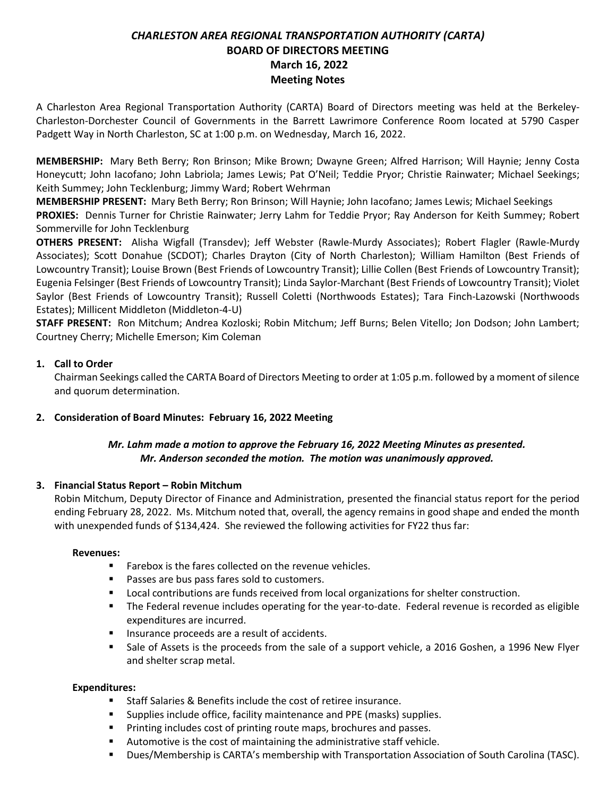# *CHARLESTON AREA REGIONAL TRANSPORTATION AUTHORITY (CARTA)* **BOARD OF DIRECTORS MEETING March 16, 2022 Meeting Notes**

A Charleston Area Regional Transportation Authority (CARTA) Board of Directors meeting was held at the Berkeley-Charleston-Dorchester Council of Governments in the Barrett Lawrimore Conference Room located at 5790 Casper Padgett Way in North Charleston, SC at 1:00 p.m. on Wednesday, March 16, 2022.

**MEMBERSHIP:** Mary Beth Berry; Ron Brinson; Mike Brown; Dwayne Green; Alfred Harrison; Will Haynie; Jenny Costa Honeycutt; John Iacofano; John Labriola; James Lewis; Pat O'Neil; Teddie Pryor; Christie Rainwater; Michael Seekings; Keith Summey; John Tecklenburg; Jimmy Ward; Robert Wehrman

**MEMBERSHIP PRESENT:** Mary Beth Berry; Ron Brinson; Will Haynie; John Iacofano; James Lewis; Michael Seekings **PROXIES:** Dennis Turner for Christie Rainwater; Jerry Lahm for Teddie Pryor; Ray Anderson for Keith Summey; Robert Sommerville for John Tecklenburg

**OTHERS PRESENT:** Alisha Wigfall (Transdev); Jeff Webster (Rawle-Murdy Associates); Robert Flagler (Rawle-Murdy Associates); Scott Donahue (SCDOT); Charles Drayton (City of North Charleston); William Hamilton (Best Friends of Lowcountry Transit); Louise Brown (Best Friends of Lowcountry Transit); Lillie Collen (Best Friends of Lowcountry Transit); Eugenia Felsinger (Best Friends of Lowcountry Transit); Linda Saylor-Marchant (Best Friends of Lowcountry Transit); Violet Saylor (Best Friends of Lowcountry Transit); Russell Coletti (Northwoods Estates); Tara Finch-Lazowski (Northwoods Estates); Millicent Middleton (Middleton-4-U)

**STAFF PRESENT:** Ron Mitchum; Andrea Kozloski; Robin Mitchum; Jeff Burns; Belen Vitello; Jon Dodson; John Lambert; Courtney Cherry; Michelle Emerson; Kim Coleman

# **1. Call to Order**

Chairman Seekings called the CARTA Board of Directors Meeting to order at 1:05 p.m. followed by a moment of silence and quorum determination.

# **2. Consideration of Board Minutes: February 16, 2022 Meeting**

# *Mr. Lahm made a motion to approve the February 16, 2022 Meeting Minutes as presented. Mr. Anderson seconded the motion. The motion was unanimously approved.*

# **3. Financial Status Report – Robin Mitchum**

Robin Mitchum, Deputy Director of Finance and Administration, presented the financial status report for the period ending February 28, 2022. Ms. Mitchum noted that, overall, the agency remains in good shape and ended the month with unexpended funds of \$134,424. She reviewed the following activities for FY22 thus far:

#### **Revenues:**

- Farebox is the fares collected on the revenue vehicles.
- Passes are bus pass fares sold to customers.
- Local contributions are funds received from local organizations for shelter construction.
- The Federal revenue includes operating for the year-to-date. Federal revenue is recorded as eligible expenditures are incurred.
- Insurance proceeds are a result of accidents.
- **Example 3 Sale of Assets is the proceeds from the sale of a support vehicle, a 2016 Goshen, a 1996 New Flyer** and shelter scrap metal.

# **Expenditures:**

- Staff Salaries & Benefits include the cost of retiree insurance.
- Supplies include office, facility maintenance and PPE (masks) supplies.
- Printing includes cost of printing route maps, brochures and passes.
- Automotive is the cost of maintaining the administrative staff vehicle.
- Dues/Membership is CARTA's membership with Transportation Association of South Carolina (TASC).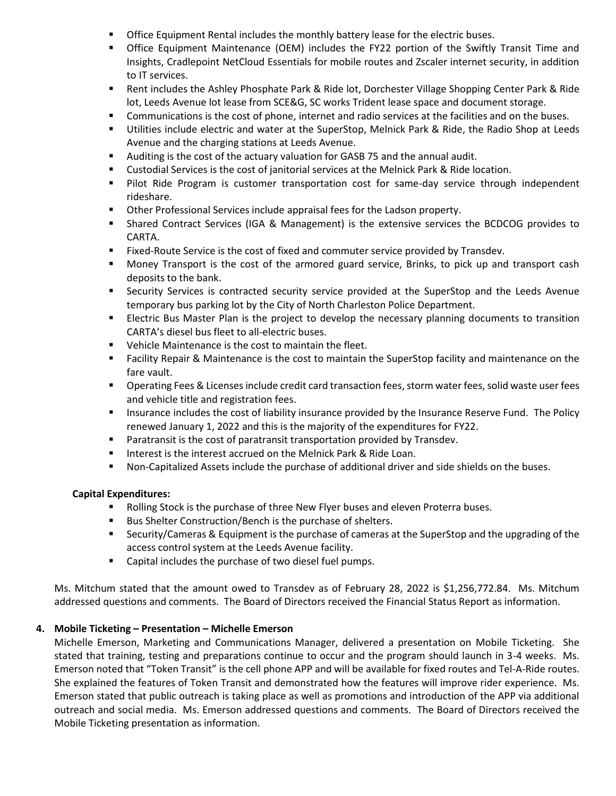- Office Equipment Rental includes the monthly battery lease for the electric buses.
- **•** Office Equipment Maintenance (OEM) includes the FY22 portion of the Swiftly Transit Time and Insights, Cradlepoint NetCloud Essentials for mobile routes and Zscaler internet security, in addition to IT services.
- Rent includes the Ashley Phosphate Park & Ride lot, Dorchester Village Shopping Center Park & Ride lot, Leeds Avenue lot lease from SCE&G, SC works Trident lease space and document storage.
- **•** Communications is the cost of phone, internet and radio services at the facilities and on the buses.
- Utilities include electric and water at the SuperStop, Melnick Park & Ride, the Radio Shop at Leeds Avenue and the charging stations at Leeds Avenue.
- Auditing is the cost of the actuary valuation for GASB 75 and the annual audit.
- Custodial Services is the cost of janitorial services at the Melnick Park & Ride location.
- Pilot Ride Program is customer transportation cost for same-day service through independent rideshare.
- Other Professional Services include appraisal fees for the Ladson property.
- Shared Contract Services (IGA & Management) is the extensive services the BCDCOG provides to CARTA.
- Fixed-Route Service is the cost of fixed and commuter service provided by Transdev.
- Money Transport is the cost of the armored guard service, Brinks, to pick up and transport cash deposits to the bank.
- **EXECUTE:** Services is contracted security service provided at the SuperStop and the Leeds Avenue temporary bus parking lot by the City of North Charleston Police Department.
- Electric Bus Master Plan is the project to develop the necessary planning documents to transition CARTA's diesel bus fleet to all-electric buses.
- Vehicle Maintenance is the cost to maintain the fleet.
- Facility Repair & Maintenance is the cost to maintain the SuperStop facility and maintenance on the fare vault.
- Operating Fees & Licenses include credit card transaction fees, storm water fees, solid waste user fees and vehicle title and registration fees.
- **■** Insurance includes the cost of liability insurance provided by the Insurance Reserve Fund. The Policy renewed January 1, 2022 and this is the majority of the expenditures for FY22.
- Paratransit is the cost of paratransit transportation provided by Transdev.
- **E** Interest is the interest accrued on the Melnick Park & Ride Loan.
- Non-Capitalized Assets include the purchase of additional driver and side shields on the buses.

#### **Capital Expenditures:**

- Rolling Stock is the purchase of three New Flyer buses and eleven Proterra buses.
- Bus Shelter Construction/Bench is the purchase of shelters.
- Security/Cameras & Equipment is the purchase of cameras at the SuperStop and the upgrading of the access control system at the Leeds Avenue facility.
- Capital includes the purchase of two diesel fuel pumps.

Ms. Mitchum stated that the amount owed to Transdev as of February 28, 2022 is \$1,256,772.84. Ms. Mitchum addressed questions and comments. The Board of Directors received the Financial Status Report as information.

#### **4. Mobile Ticketing – Presentation – Michelle Emerson**

Michelle Emerson, Marketing and Communications Manager, delivered a presentation on Mobile Ticketing. She stated that training, testing and preparations continue to occur and the program should launch in 3-4 weeks. Ms. Emerson noted that "Token Transit" is the cell phone APP and will be available for fixed routes and Tel-A-Ride routes. She explained the features of Token Transit and demonstrated how the features will improve rider experience. Ms. Emerson stated that public outreach is taking place as well as promotions and introduction of the APP via additional outreach and social media. Ms. Emerson addressed questions and comments. The Board of Directors received the Mobile Ticketing presentation as information.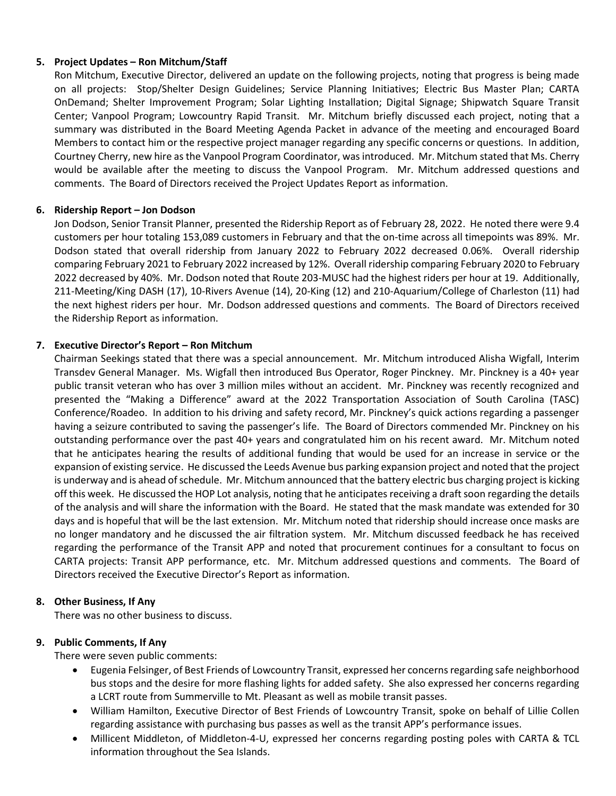### **5. Project Updates – Ron Mitchum/Staff**

Ron Mitchum, Executive Director, delivered an update on the following projects, noting that progress is being made on all projects: Stop/Shelter Design Guidelines; Service Planning Initiatives; Electric Bus Master Plan; CARTA OnDemand; Shelter Improvement Program; Solar Lighting Installation; Digital Signage; Shipwatch Square Transit Center; Vanpool Program; Lowcountry Rapid Transit. Mr. Mitchum briefly discussed each project, noting that a summary was distributed in the Board Meeting Agenda Packet in advance of the meeting and encouraged Board Members to contact him or the respective project manager regarding any specific concerns or questions. In addition, Courtney Cherry, new hire as the Vanpool Program Coordinator, was introduced. Mr. Mitchum stated that Ms. Cherry would be available after the meeting to discuss the Vanpool Program. Mr. Mitchum addressed questions and comments. The Board of Directors received the Project Updates Report as information.

### **6. Ridership Report – Jon Dodson**

Jon Dodson, Senior Transit Planner, presented the Ridership Report as of February 28, 2022. He noted there were 9.4 customers per hour totaling 153,089 customers in February and that the on-time across all timepoints was 89%. Mr. Dodson stated that overall ridership from January 2022 to February 2022 decreased 0.06%. Overall ridership comparing February 2021 to February 2022 increased by 12%. Overall ridership comparing February 2020 to February 2022 decreased by 40%. Mr. Dodson noted that Route 203-MUSC had the highest riders per hour at 19. Additionally, 211-Meeting/King DASH (17), 10-Rivers Avenue (14), 20-King (12) and 210-Aquarium/College of Charleston (11) had the next highest riders per hour. Mr. Dodson addressed questions and comments. The Board of Directors received the Ridership Report as information.

### **7. Executive Director's Report – Ron Mitchum**

Chairman Seekings stated that there was a special announcement. Mr. Mitchum introduced Alisha Wigfall, Interim Transdev General Manager. Ms. Wigfall then introduced Bus Operator, Roger Pinckney. Mr. Pinckney is a 40+ year public transit veteran who has over 3 million miles without an accident. Mr. Pinckney was recently recognized and presented the "Making a Difference" award at the 2022 Transportation Association of South Carolina (TASC) Conference/Roadeo. In addition to his driving and safety record, Mr. Pinckney's quick actions regarding a passenger having a seizure contributed to saving the passenger's life. The Board of Directors commended Mr. Pinckney on his outstanding performance over the past 40+ years and congratulated him on his recent award. Mr. Mitchum noted that he anticipates hearing the results of additional funding that would be used for an increase in service or the expansion of existing service. He discussed the Leeds Avenue bus parking expansion project and noted that the project is underway and is ahead of schedule. Mr. Mitchum announced that the battery electric bus charging project is kicking off this week. He discussed the HOP Lot analysis, noting that he anticipates receiving a draft soon regarding the details of the analysis and will share the information with the Board. He stated that the mask mandate was extended for 30 days and is hopeful that will be the last extension. Mr. Mitchum noted that ridership should increase once masks are no longer mandatory and he discussed the air filtration system. Mr. Mitchum discussed feedback he has received regarding the performance of the Transit APP and noted that procurement continues for a consultant to focus on CARTA projects: Transit APP performance, etc. Mr. Mitchum addressed questions and comments. The Board of Directors received the Executive Director's Report as information.

#### **8. Other Business, If Any**

There was no other business to discuss.

#### **9. Public Comments, If Any**

There were seven public comments:

- Eugenia Felsinger, of Best Friends of Lowcountry Transit, expressed her concerns regarding safe neighborhood bus stops and the desire for more flashing lights for added safety. She also expressed her concerns regarding a LCRT route from Summerville to Mt. Pleasant as well as mobile transit passes.
- William Hamilton, Executive Director of Best Friends of Lowcountry Transit, spoke on behalf of Lillie Collen regarding assistance with purchasing bus passes as well as the transit APP's performance issues.
- Millicent Middleton, of Middleton-4-U, expressed her concerns regarding posting poles with CARTA & TCL information throughout the Sea Islands.